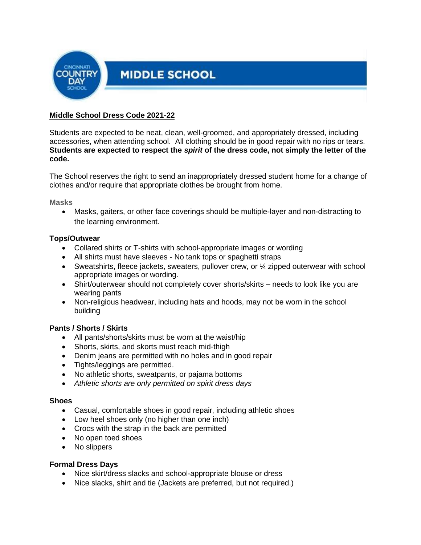

# **Middle School Dress Code 2021-22**

Students are expected to be neat, clean, well-groomed, and appropriately dressed, including accessories, when attending school. All clothing should be in good repair with no rips or tears. **Students are expected to respect the** *spirit* **of the dress code, not simply the letter of the code.**

The School reserves the right to send an inappropriately dressed student home for a change of clothes and/or require that appropriate clothes be brought from home.

**Masks**

• Masks, gaiters, or other face coverings should be multiple-layer and non-distracting to the learning environment.

### **Tops/Outwear**

- Collared shirts or T-shirts with school-appropriate images or wording
- All shirts must have sleeves No tank tops or spaghetti straps
- Sweatshirts, fleece jackets, sweaters, pullover crew, or  $\frac{1}{4}$  zipped outerwear with school appropriate images or wording.
- Shirt/outerwear should not completely cover shorts/skirts needs to look like you are wearing pants
- Non-religious headwear, including hats and hoods, may not be worn in the school building

# **Pants / Shorts / Skirts**

- All pants/shorts/skirts must be worn at the waist/hip
- Shorts, skirts, and skorts must reach mid-thigh
- Denim jeans are permitted with no holes and in good repair
- Tights/leggings are permitted.
- No athletic shorts, sweatpants, or pajama bottoms
- *Athletic shorts are only permitted on spirit dress days*

#### **Shoes**

- Casual, comfortable shoes in good repair, including athletic shoes
- Low heel shoes only (no higher than one inch)
- Crocs with the strap in the back are permitted
- No open toed shoes
- No slippers

#### **Formal Dress Days**

- Nice skirt/dress slacks and school-appropriate blouse or dress
- Nice slacks, shirt and tie (Jackets are preferred, but not required.)